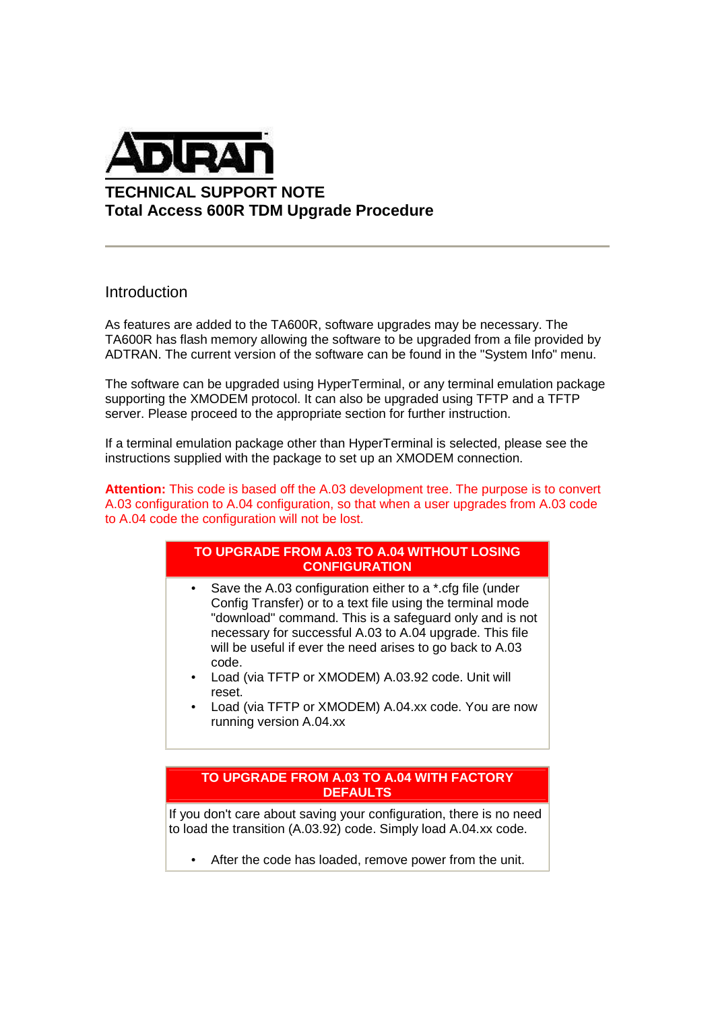

**TECHNICAL SUPPORT NOTE Total Access 600R TDM Upgrade Procedure** 

### Introduction

As features are added to the TA600R, software upgrades may be necessary. The TA600R has flash memory allowing the software to be upgraded from a file provided by ADTRAN. The current version of the software can be found in the "System Info" menu.

The software can be upgraded using HyperTerminal, or any terminal emulation package supporting the XMODEM protocol. It can also be upgraded using TFTP and a TFTP server. Please proceed to the appropriate section for further instruction.

If a terminal emulation package other than HyperTerminal is selected, please see the instructions supplied with the package to set up an XMODEM connection.

**Attention:** This code is based off the A.03 development tree. The purpose is to convert A.03 configuration to A.04 configuration, so that when a user upgrades from A.03 code to A.04 code the configuration will not be lost.

### **TO UPGRADE FROM A.03 TO A.04 WITHOUT LOSING CONFIGURATION**

- Save the A.03 configuration either to a \*.cfg file (under Config Transfer) or to a text file using the terminal mode "download" command. This is a safeguard only and is not necessary for successful A.03 to A.04 upgrade. This file will be useful if ever the need arises to go back to A.03 code.
- Load (via TFTP or XMODEM) A.03.92 code. Unit will reset.
- Load (via TFTP or XMODEM) A.04.xx code. You are now running version A.04.xx

### **TO UPGRADE FROM A.03 TO A.04 WITH FACTORY DEFAULTS**

If you don't care about saving your configuration, there is no need to load the transition (A.03.92) code. Simply load A.04.xx code.

After the code has loaded, remove power from the unit.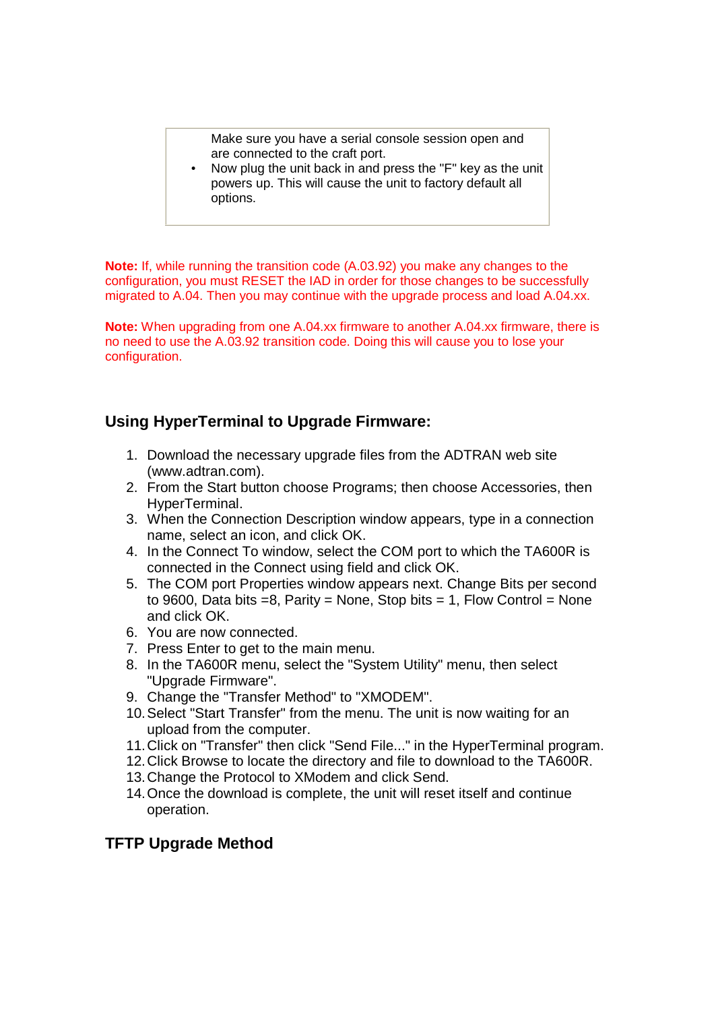Make sure you have a serial console session open and are connected to the craft port.

• Now plug the unit back in and press the "F" key as the unit powers up. This will cause the unit to factory default all options.

**Note:** If, while running the transition code (A.03.92) you make any changes to the configuration, you must RESET the IAD in order for those changes to be successfully migrated to A.04. Then you may continue with the upgrade process and load A.04.xx.

**Note:** When upgrading from one A.04.xx firmware to another A.04.xx firmware, there is no need to use the A.03.92 transition code. Doing this will cause you to lose your configuration.

# **Using HyperTerminal to Upgrade Firmware:**

- 1. Download the necessary upgrade files from the ADTRAN web site (www.adtran.com).
- 2. From the Start button choose Programs; then choose Accessories, then HyperTerminal.
- 3. When the Connection Description window appears, type in a connection name, select an icon, and click OK.
- 4. In the Connect To window, select the COM port to which the TA600R is connected in the Connect using field and click OK.
- 5. The COM port Properties window appears next. Change Bits per second to 9600, Data bits  $=8$ , Parity = None, Stop bits = 1, Flow Control = None and click OK.
- 6. You are now connected.
- 7. Press Enter to get to the main menu.
- 8. In the TA600R menu, select the "System Utility" menu, then select "Upgrade Firmware".
- 9. Change the "Transfer Method" to "XMODEM".
- 10. Select "Start Transfer" from the menu. The unit is now waiting for an upload from the computer.
- 11. Click on "Transfer" then click "Send File..." in the HyperTerminal program.
- 12. Click Browse to locate the directory and file to download to the TA600R.
- 13. Change the Protocol to XModem and click Send.
- 14. Once the download is complete, the unit will reset itself and continue operation.

## **TFTP Upgrade Method**